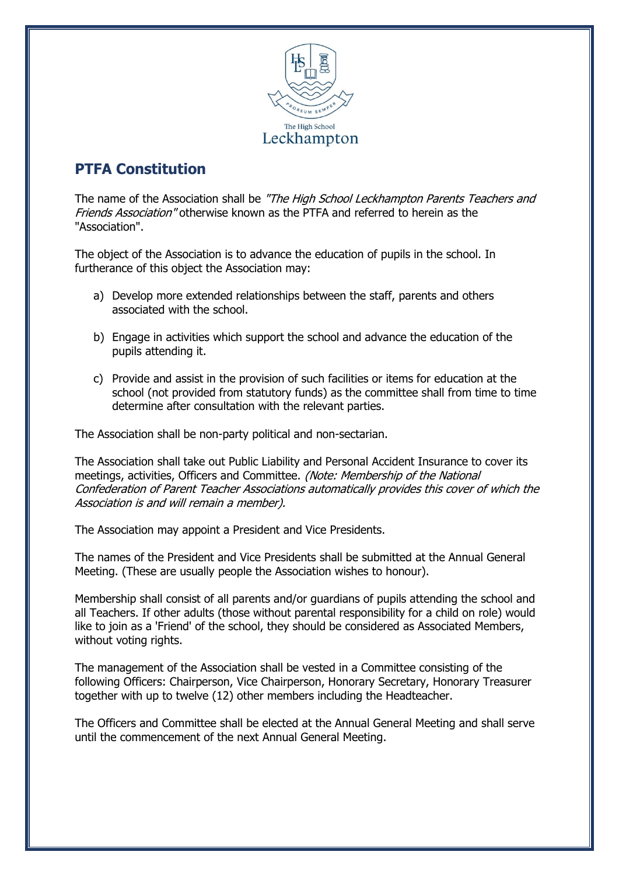

## **PTFA Constitution**

The name of the Association shall be "The High School Leckhampton Parents Teachers and Friends Association" otherwise known as the PTFA and referred to herein as the "Association".

The object of the Association is to advance the education of pupils in the school. In furtherance of this object the Association may:

- a) Develop more extended relationships between the staff, parents and others associated with the school.
- b) Engage in activities which support the school and advance the education of the pupils attending it.
- c) Provide and assist in the provision of such facilities or items for education at the school (not provided from statutory funds) as the committee shall from time to time determine after consultation with the relevant parties.

The Association shall be non-party political and non-sectarian.

The Association shall take out Public Liability and Personal Accident Insurance to cover its meetings, activities, Officers and Committee. (Note: Membership of the National Confederation of Parent Teacher Associations automatically provides this cover of which the Association is and will remain a member).

The Association may appoint a President and Vice Presidents.

The names of the President and Vice Presidents shall be submitted at the Annual General Meeting. (These are usually people the Association wishes to honour).

Membership shall consist of all parents and/or guardians of pupils attending the school and all Teachers. If other adults (those without parental responsibility for a child on role) would like to join as a 'Friend' of the school, they should be considered as Associated Members, without voting rights.

The management of the Association shall be vested in a Committee consisting of the following Officers: Chairperson, Vice Chairperson, Honorary Secretary, Honorary Treasurer together with up to twelve (12) other members including the Headteacher.

The Officers and Committee shall be elected at the Annual General Meeting and shall serve until the commencement of the next Annual General Meeting.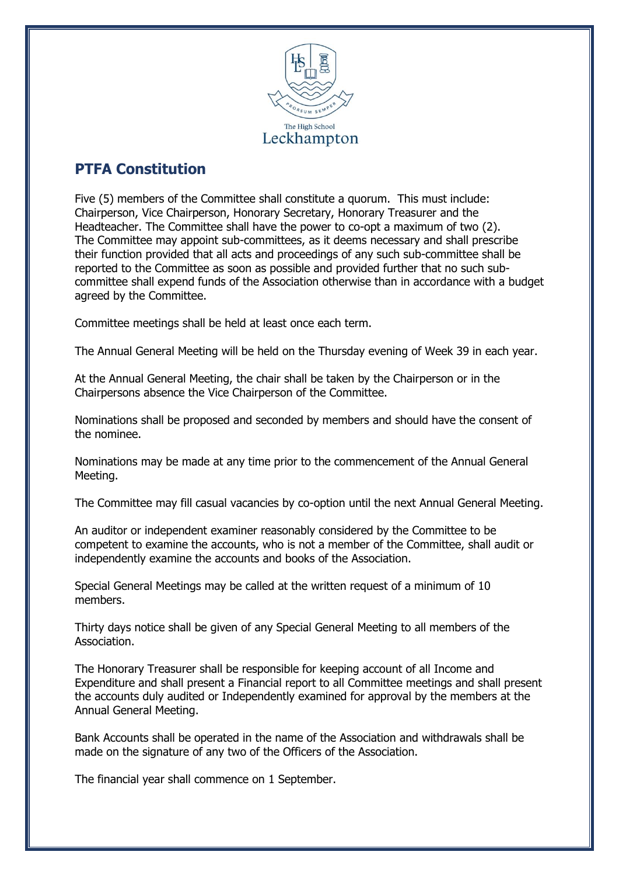

## **PTFA Constitution**

Five (5) members of the Committee shall constitute a quorum. This must include: Chairperson, Vice Chairperson, Honorary Secretary, Honorary Treasurer and the Headteacher. The Committee shall have the power to co-opt a maximum of two (2). The Committee may appoint sub-committees, as it deems necessary and shall prescribe their function provided that all acts and proceedings of any such sub-committee shall be reported to the Committee as soon as possible and provided further that no such subcommittee shall expend funds of the Association otherwise than in accordance with a budget agreed by the Committee.

Committee meetings shall be held at least once each term.

The Annual General Meeting will be held on the Thursday evening of Week 39 in each year.

At the Annual General Meeting, the chair shall be taken by the Chairperson or in the Chairpersons absence the Vice Chairperson of the Committee.

Nominations shall be proposed and seconded by members and should have the consent of the nominee.

Nominations may be made at any time prior to the commencement of the Annual General Meeting.

The Committee may fill casual vacancies by co-option until the next Annual General Meeting.

An auditor or independent examiner reasonably considered by the Committee to be competent to examine the accounts, who is not a member of the Committee, shall audit or independently examine the accounts and books of the Association.

Special General Meetings may be called at the written request of a minimum of 10 members.

Thirty days notice shall be given of any Special General Meeting to all members of the Association.

The Honorary Treasurer shall be responsible for keeping account of all Income and Expenditure and shall present a Financial report to all Committee meetings and shall present the accounts duly audited or Independently examined for approval by the members at the Annual General Meeting.

Bank Accounts shall be operated in the name of the Association and withdrawals shall be made on the signature of any two of the Officers of the Association.

The financial year shall commence on 1 September.